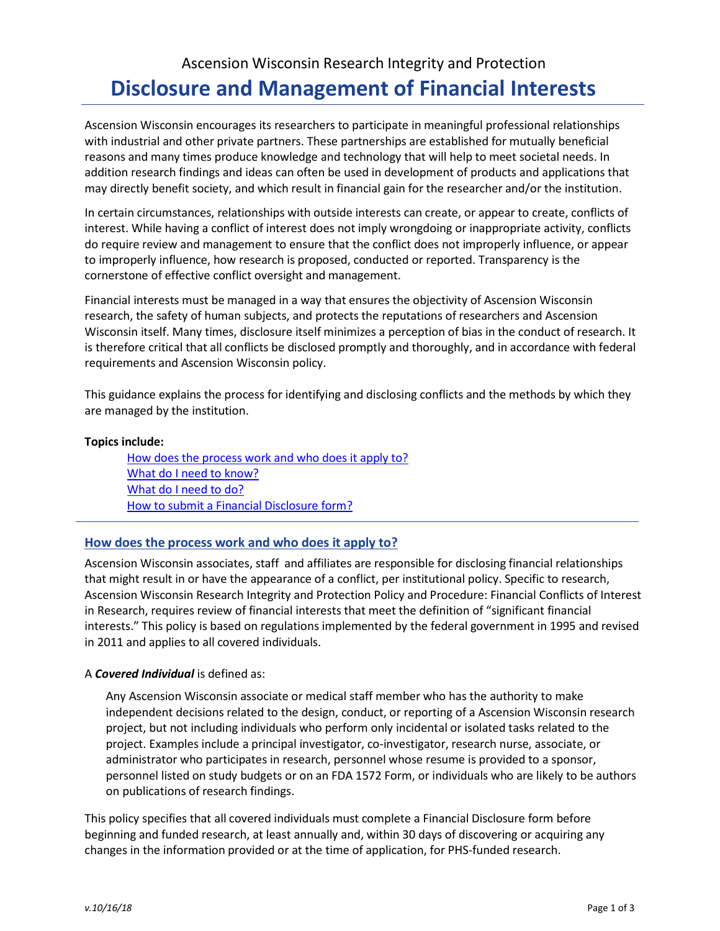# Ascension Wisconsin Research Integrity and Protection **Disclosure and Management of Financial Interests**

Ascension Wisconsin encourages its researchers to participate in meaningful professional relationships with industrial and other private partners. These partnerships are established for mutually beneficial reasons and many times produce knowledge and technology that will help to meet societal needs. In addition research findings and ideas can often be used in development of products and applications that may directly benefit society, and which result in financial gain for the researcher and/or the institution.

In certain circumstances, relationships with outside interests can create, or appear to create, conflicts of interest. While having a conflict of interest does not imply wrongdoing or inappropriate activity, conflicts do require review and management to ensure that the conflict does not improperly influence, or appear to improperly influence, how research is proposed, conducted or reported. Transparency is the cornerstone of effective conflict oversight and management.

Financial interests must be managed in a way that ensures the objectivity of Ascension Wisconsin research, the safety of human subjects, and protects the reputations of researchers and Ascension Wisconsin itself. Many times, disclosure itself minimizes a perception of bias in the conduct of research. It is therefore critical that all conflicts be disclosed promptly and thoroughly, and in accordance with federal requirements and Ascension Wisconsin policy.

This guidance explains the process for identifying and disclosing conflicts and the methods by which they are managed by the institution.

#### **Topics include:**

How does the process work and who does it apply to? What do I need to know? What do I need to do? How to submit a Financial Disclosure form?

## **How does the process work and who does it apply to?**

Ascension Wisconsin associates, staff and affiliates are responsible for disclosing financial relationships that might result in or have the appearance of a conflict, per institutional policy. Specific to research, Ascension Wisconsin Research Integrity and Protection Policy and Procedure: Financial Conflicts of Interest in Research, requires review of financial interests that meet the definition of "significant financial interests." This policy is based on regulations implemented by the federal government in 1995 and revised in 2011 and applies to all covered individuals.

## A *Covered Individual* is defined as:

Any Ascension Wisconsin associate or medical staff member who has the authority to make independent decisions related to the design, conduct, or reporting of a Ascension Wisconsin research project, but not including individuals who perform only incidental or isolated tasks related to the project. Examples include a principal investigator, co-investigator, research nurse, associate, or administrator who participates in research, personnel whose resume is provided to a sponsor, personnel listed on study budgets or on an FDA 1572 Form, or individuals who are likely to be authors on publications of research findings.

This policy specifies that all covered individuals must complete a Financial Disclosure form before beginning and funded research, at least annually and, within 30 days of discovering or acquiring any changes in the information provided or at the time of application, for PHS-funded research.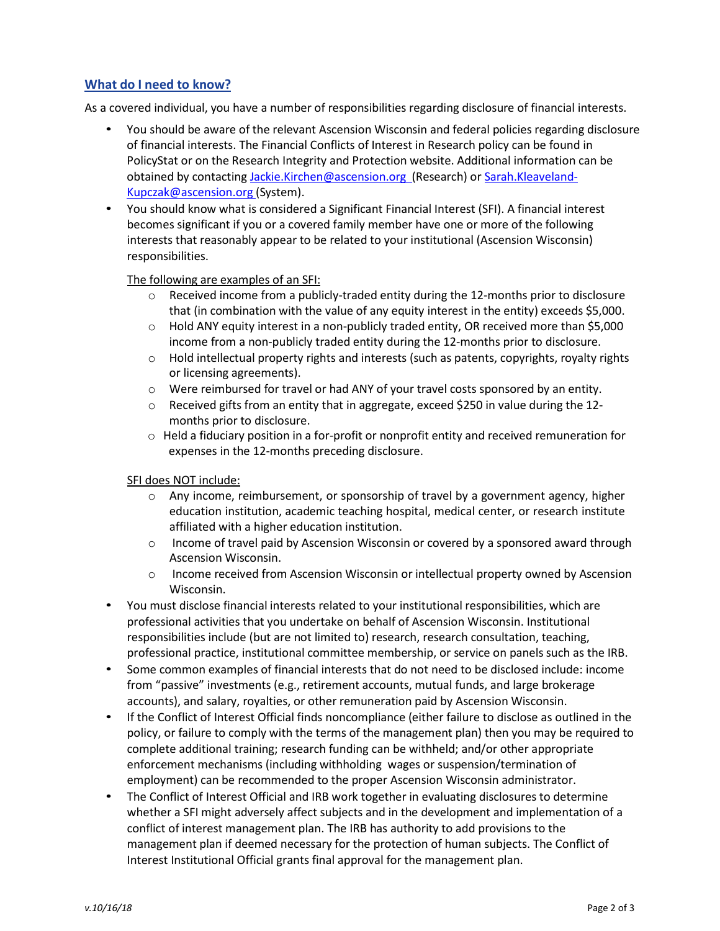# **What do I need to know?**

As a covered individual, you have a number of responsibilities regarding disclosure of financial interests.

- You should be aware of the relevant Ascension Wisconsin and federal policies regarding disclosure of financial interests. The Financial Conflicts of Interest in Research policy can be found in PolicyStat or on the Research Integrity and Protection website. Additional information can be obtained by contacting [Jackie.Kirchen@ascension.org](mailto:Jackie.Kirchen@ascension.org) (Research) or Sarah.Kleaveland-[Kupczak@ascension.org](mailto:Kupczak@ascension.org) (System).
- You should know what is considered a Significant Financial Interest (SFI). A financial interest becomes significant if you or a covered family member have one or more of the following interests that reasonably appear to be related to your institutional (Ascension Wisconsin) responsibilities.

#### The following are examples of an SFI:

- o Received income from a publicly-traded entity during the 12-months prior to disclosure that (in combination with the value of any equity interest in the entity) exceeds \$5,000.
- o Hold ANY equity interest in a non-publicly traded entity, OR received more than \$5,000 income from a non-publicly traded entity during the 12-months prior to disclosure.
- o Hold intellectual property rights and interests (such as patents, copyrights, royalty rights or licensing agreements).
- o Were reimbursed for travel or had ANY of your travel costs sponsored by an entity.
- $\circ$  Received gifts from an entity that in aggregate, exceed \$250 in value during the 12months prior to disclosure.
- $\circ$  Held a fiduciary position in a for-profit or nonprofit entity and received remuneration for expenses in the 12-months preceding disclosure.

#### SFI does NOT include:

- $\circ$  Any income, reimbursement, or sponsorship of travel by a government agency, higher education institution, academic teaching hospital, medical center, or research institute affiliated with a higher education institution.
- o Income of travel paid by Ascension Wisconsin or covered by a sponsored award through Ascension Wisconsin.
- o Income received from Ascension Wisconsin or intellectual property owned by Ascension Wisconsin.
- You must disclose financial interests related to your institutional responsibilities, which are professional activities that you undertake on behalf of Ascension Wisconsin. Institutional responsibilities include (but are not limited to) research, research consultation, teaching, professional practice, institutional committee membership, or service on panels such as the IRB.
- Some common examples of financial interests that do not need to be disclosed include: income from "passive" investments (e.g., retirement accounts, mutual funds, and large brokerage accounts), and salary, royalties, or other remuneration paid by Ascension Wisconsin.
- If the Conflict of Interest Official finds noncompliance (either failure to disclose as outlined in the policy, or failure to comply with the terms of the management plan) then you may be required to complete additional training; research funding can be withheld; and/or other appropriate enforcement mechanisms (including withholding wages or suspension/termination of employment) can be recommended to the proper Ascension Wisconsin administrator.
- The Conflict of Interest Official and IRB work together in evaluating disclosures to determine whether a SFI might adversely affect subjects and in the development and implementation of a conflict of interest management plan. The IRB has authority to add provisions to the management plan if deemed necessary for the protection of human subjects. The Conflict of Interest Institutional Official grants final approval for the management plan.